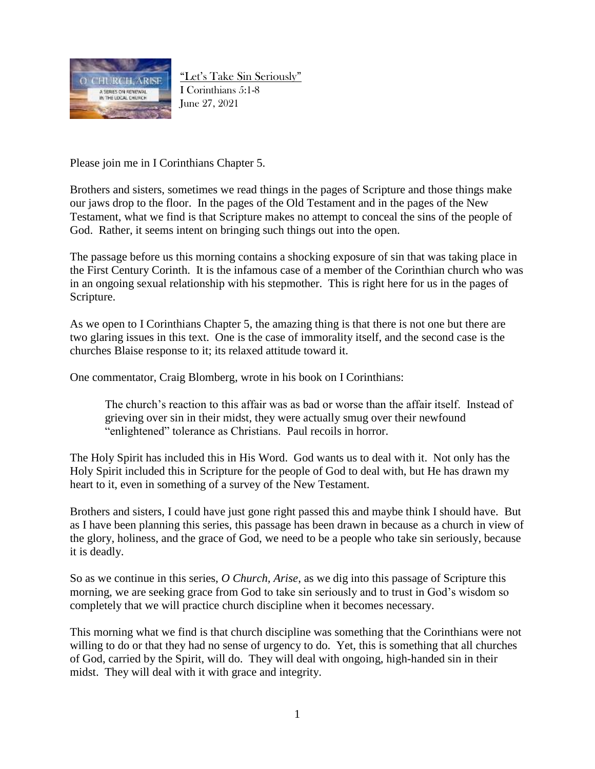

"Let's Take Sin Seriously" I Corinthians 5:1-8 June 27, 2021

Please join me in I Corinthians Chapter 5.

Brothers and sisters, sometimes we read things in the pages of Scripture and those things make our jaws drop to the floor. In the pages of the Old Testament and in the pages of the New Testament, what we find is that Scripture makes no attempt to conceal the sins of the people of God. Rather, it seems intent on bringing such things out into the open.

The passage before us this morning contains a shocking exposure of sin that was taking place in the First Century Corinth. It is the infamous case of a member of the Corinthian church who was in an ongoing sexual relationship with his stepmother. This is right here for us in the pages of Scripture.

As we open to I Corinthians Chapter 5, the amazing thing is that there is not one but there are two glaring issues in this text. One is the case of immorality itself, and the second case is the churches Blaise response to it; its relaxed attitude toward it.

One commentator, Craig Blomberg, wrote in his book on I Corinthians:

The church's reaction to this affair was as bad or worse than the affair itself. Instead of grieving over sin in their midst, they were actually smug over their newfound "enlightened" tolerance as Christians. Paul recoils in horror.

The Holy Spirit has included this in His Word. God wants us to deal with it. Not only has the Holy Spirit included this in Scripture for the people of God to deal with, but He has drawn my heart to it, even in something of a survey of the New Testament.

Brothers and sisters, I could have just gone right passed this and maybe think I should have. But as I have been planning this series, this passage has been drawn in because as a church in view of the glory, holiness, and the grace of God, we need to be a people who take sin seriously, because it is deadly.

So as we continue in this series, *O Church, Arise*, as we dig into this passage of Scripture this morning, we are seeking grace from God to take sin seriously and to trust in God's wisdom so completely that we will practice church discipline when it becomes necessary.

This morning what we find is that church discipline was something that the Corinthians were not willing to do or that they had no sense of urgency to do. Yet, this is something that all churches of God, carried by the Spirit, will do. They will deal with ongoing, high-handed sin in their midst. They will deal with it with grace and integrity.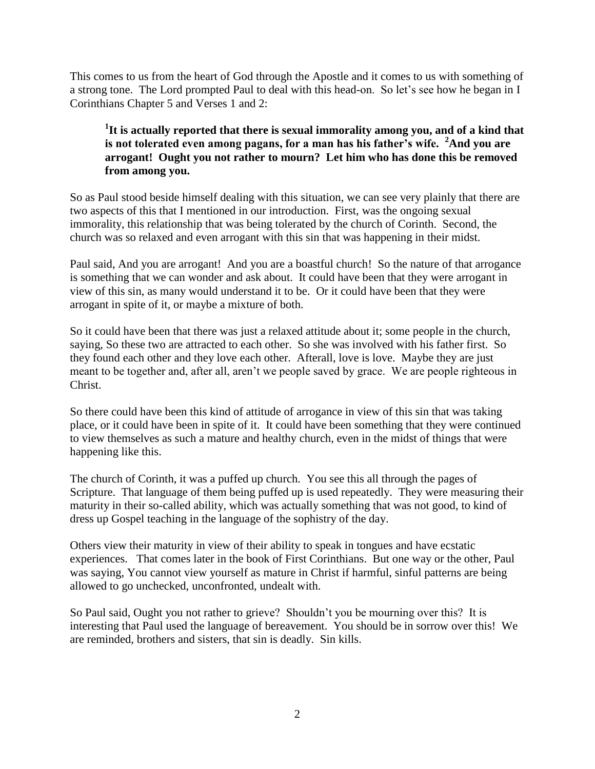This comes to us from the heart of God through the Apostle and it comes to us with something of a strong tone. The Lord prompted Paul to deal with this head-on. So let's see how he began in I Corinthians Chapter 5 and Verses 1 and 2:

### **1 It is actually reported that there is sexual immorality among you, and of a kind that is not tolerated even among pagans, for a man has his father's wife. <sup>2</sup>And you are arrogant! Ought you not rather to mourn? Let him who has done this be removed from among you.**

So as Paul stood beside himself dealing with this situation, we can see very plainly that there are two aspects of this that I mentioned in our introduction. First, was the ongoing sexual immorality, this relationship that was being tolerated by the church of Corinth. Second, the church was so relaxed and even arrogant with this sin that was happening in their midst.

Paul said, And you are arrogant! And you are a boastful church! So the nature of that arrogance is something that we can wonder and ask about. It could have been that they were arrogant in view of this sin, as many would understand it to be. Or it could have been that they were arrogant in spite of it, or maybe a mixture of both.

So it could have been that there was just a relaxed attitude about it; some people in the church, saying, So these two are attracted to each other. So she was involved with his father first. So they found each other and they love each other. Afterall, love is love. Maybe they are just meant to be together and, after all, aren't we people saved by grace. We are people righteous in Christ.

So there could have been this kind of attitude of arrogance in view of this sin that was taking place, or it could have been in spite of it. It could have been something that they were continued to view themselves as such a mature and healthy church, even in the midst of things that were happening like this.

The church of Corinth, it was a puffed up church. You see this all through the pages of Scripture. That language of them being puffed up is used repeatedly. They were measuring their maturity in their so-called ability, which was actually something that was not good, to kind of dress up Gospel teaching in the language of the sophistry of the day.

Others view their maturity in view of their ability to speak in tongues and have ecstatic experiences. That comes later in the book of First Corinthians. But one way or the other, Paul was saying, You cannot view yourself as mature in Christ if harmful, sinful patterns are being allowed to go unchecked, unconfronted, undealt with.

So Paul said, Ought you not rather to grieve? Shouldn't you be mourning over this? It is interesting that Paul used the language of bereavement. You should be in sorrow over this! We are reminded, brothers and sisters, that sin is deadly. Sin kills.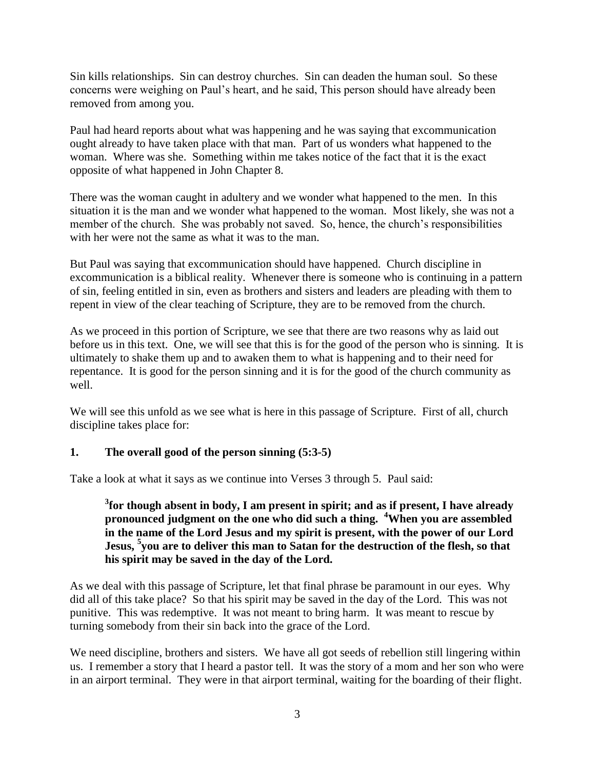Sin kills relationships. Sin can destroy churches. Sin can deaden the human soul. So these concerns were weighing on Paul's heart, and he said, This person should have already been removed from among you.

Paul had heard reports about what was happening and he was saying that excommunication ought already to have taken place with that man. Part of us wonders what happened to the woman. Where was she. Something within me takes notice of the fact that it is the exact opposite of what happened in John Chapter 8.

There was the woman caught in adultery and we wonder what happened to the men. In this situation it is the man and we wonder what happened to the woman. Most likely, she was not a member of the church. She was probably not saved. So, hence, the church's responsibilities with her were not the same as what it was to the man.

But Paul was saying that excommunication should have happened. Church discipline in excommunication is a biblical reality. Whenever there is someone who is continuing in a pattern of sin, feeling entitled in sin, even as brothers and sisters and leaders are pleading with them to repent in view of the clear teaching of Scripture, they are to be removed from the church.

As we proceed in this portion of Scripture, we see that there are two reasons why as laid out before us in this text. One, we will see that this is for the good of the person who is sinning. It is ultimately to shake them up and to awaken them to what is happening and to their need for repentance. It is good for the person sinning and it is for the good of the church community as well.

We will see this unfold as we see what is here in this passage of Scripture. First of all, church discipline takes place for:

#### **1. The overall good of the person sinning (5:3-5)**

Take a look at what it says as we continue into Verses 3 through 5. Paul said:

#### **3 for though absent in body, I am present in spirit; and as if present, I have already pronounced judgment on the one who did such a thing. <sup>4</sup>When you are assembled in the name of the Lord Jesus and my spirit is present, with the power of our Lord Jesus, <sup>5</sup> you are to deliver this man to Satan for the destruction of the flesh, so that his spirit may be saved in the day of the Lord.**

As we deal with this passage of Scripture, let that final phrase be paramount in our eyes. Why did all of this take place? So that his spirit may be saved in the day of the Lord. This was not punitive. This was redemptive. It was not meant to bring harm. It was meant to rescue by turning somebody from their sin back into the grace of the Lord.

We need discipline, brothers and sisters. We have all got seeds of rebellion still lingering within us. I remember a story that I heard a pastor tell. It was the story of a mom and her son who were in an airport terminal. They were in that airport terminal, waiting for the boarding of their flight.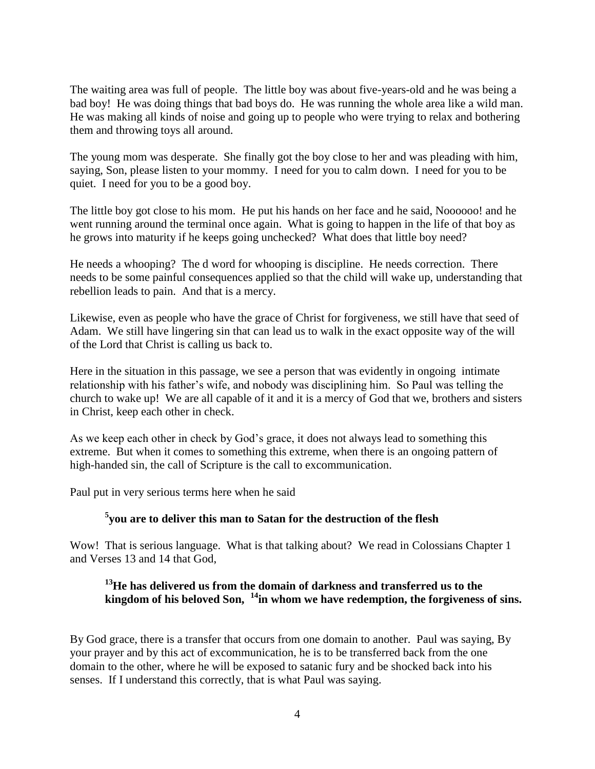The waiting area was full of people. The little boy was about five-years-old and he was being a bad boy! He was doing things that bad boys do. He was running the whole area like a wild man. He was making all kinds of noise and going up to people who were trying to relax and bothering them and throwing toys all around.

The young mom was desperate. She finally got the boy close to her and was pleading with him, saying, Son, please listen to your mommy. I need for you to calm down. I need for you to be quiet. I need for you to be a good boy.

The little boy got close to his mom. He put his hands on her face and he said, Noooooo! and he went running around the terminal once again. What is going to happen in the life of that boy as he grows into maturity if he keeps going unchecked? What does that little boy need?

He needs a whooping? The d word for whooping is discipline. He needs correction. There needs to be some painful consequences applied so that the child will wake up, understanding that rebellion leads to pain. And that is a mercy.

Likewise, even as people who have the grace of Christ for forgiveness, we still have that seed of Adam. We still have lingering sin that can lead us to walk in the exact opposite way of the will of the Lord that Christ is calling us back to.

Here in the situation in this passage, we see a person that was evidently in ongoing intimate relationship with his father's wife, and nobody was disciplining him. So Paul was telling the church to wake up! We are all capable of it and it is a mercy of God that we, brothers and sisters in Christ, keep each other in check.

As we keep each other in check by God's grace, it does not always lead to something this extreme. But when it comes to something this extreme, when there is an ongoing pattern of high-handed sin, the call of Scripture is the call to excommunication.

Paul put in very serious terms here when he said

# **5 you are to deliver this man to Satan for the destruction of the flesh**

Wow! That is serious language. What is that talking about? We read in Colossians Chapter 1 and Verses 13 and 14 that God,

#### **<sup>13</sup>He has delivered us from the domain of darkness and transferred us to the kingdom of his beloved Son, <sup>14</sup>in whom we have redemption, the forgiveness of sins.**

By God grace, there is a transfer that occurs from one domain to another. Paul was saying, By your prayer and by this act of excommunication, he is to be transferred back from the one domain to the other, where he will be exposed to satanic fury and be shocked back into his senses. If I understand this correctly, that is what Paul was saying.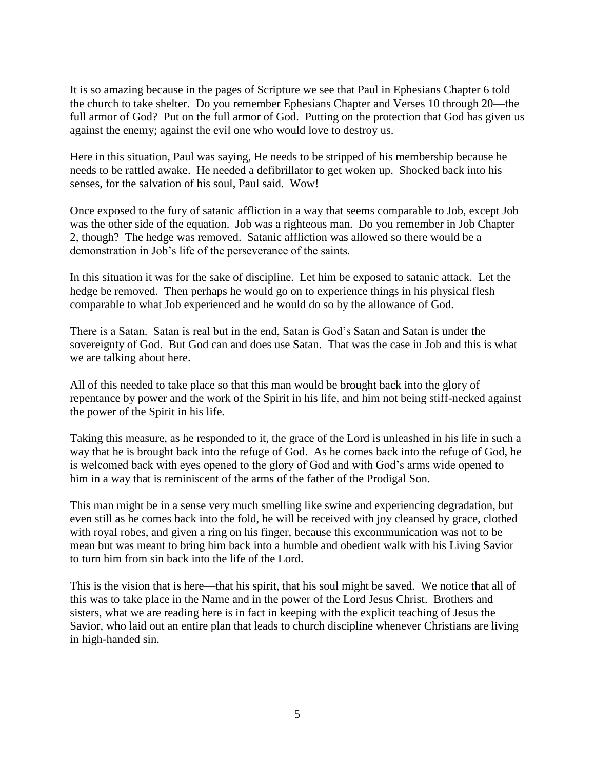It is so amazing because in the pages of Scripture we see that Paul in Ephesians Chapter 6 told the church to take shelter. Do you remember Ephesians Chapter and Verses 10 through 20—the full armor of God? Put on the full armor of God. Putting on the protection that God has given us against the enemy; against the evil one who would love to destroy us.

Here in this situation, Paul was saying, He needs to be stripped of his membership because he needs to be rattled awake. He needed a defibrillator to get woken up. Shocked back into his senses, for the salvation of his soul, Paul said. Wow!

Once exposed to the fury of satanic affliction in a way that seems comparable to Job, except Job was the other side of the equation. Job was a righteous man. Do you remember in Job Chapter 2, though? The hedge was removed. Satanic affliction was allowed so there would be a demonstration in Job's life of the perseverance of the saints.

In this situation it was for the sake of discipline. Let him be exposed to satanic attack. Let the hedge be removed. Then perhaps he would go on to experience things in his physical flesh comparable to what Job experienced and he would do so by the allowance of God.

There is a Satan. Satan is real but in the end, Satan is God's Satan and Satan is under the sovereignty of God. But God can and does use Satan. That was the case in Job and this is what we are talking about here.

All of this needed to take place so that this man would be brought back into the glory of repentance by power and the work of the Spirit in his life, and him not being stiff-necked against the power of the Spirit in his life.

Taking this measure, as he responded to it, the grace of the Lord is unleashed in his life in such a way that he is brought back into the refuge of God. As he comes back into the refuge of God, he is welcomed back with eyes opened to the glory of God and with God's arms wide opened to him in a way that is reminiscent of the arms of the father of the Prodigal Son.

This man might be in a sense very much smelling like swine and experiencing degradation, but even still as he comes back into the fold, he will be received with joy cleansed by grace, clothed with royal robes, and given a ring on his finger, because this excommunication was not to be mean but was meant to bring him back into a humble and obedient walk with his Living Savior to turn him from sin back into the life of the Lord.

This is the vision that is here—that his spirit, that his soul might be saved. We notice that all of this was to take place in the Name and in the power of the Lord Jesus Christ. Brothers and sisters, what we are reading here is in fact in keeping with the explicit teaching of Jesus the Savior, who laid out an entire plan that leads to church discipline whenever Christians are living in high-handed sin.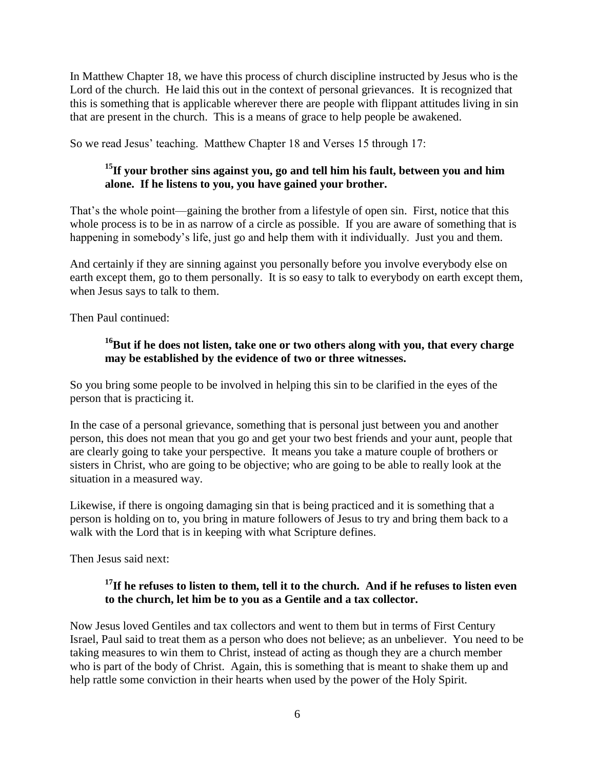In Matthew Chapter 18, we have this process of church discipline instructed by Jesus who is the Lord of the church. He laid this out in the context of personal grievances. It is recognized that this is something that is applicable wherever there are people with flippant attitudes living in sin that are present in the church. This is a means of grace to help people be awakened.

So we read Jesus' teaching. Matthew Chapter 18 and Verses 15 through 17:

# **<sup>15</sup>If your brother sins against you, go and tell him his fault, between you and him alone. If he listens to you, you have gained your brother.**

That's the whole point—gaining the brother from a lifestyle of open sin. First, notice that this whole process is to be in as narrow of a circle as possible. If you are aware of something that is happening in somebody's life, just go and help them with it individually. Just you and them.

And certainly if they are sinning against you personally before you involve everybody else on earth except them, go to them personally. It is so easy to talk to everybody on earth except them, when Jesus says to talk to them.

Then Paul continued:

# **<sup>16</sup>But if he does not listen, take one or two others along with you, that every charge may be established by the evidence of two or three witnesses.**

So you bring some people to be involved in helping this sin to be clarified in the eyes of the person that is practicing it.

In the case of a personal grievance, something that is personal just between you and another person, this does not mean that you go and get your two best friends and your aunt, people that are clearly going to take your perspective. It means you take a mature couple of brothers or sisters in Christ, who are going to be objective; who are going to be able to really look at the situation in a measured way.

Likewise, if there is ongoing damaging sin that is being practiced and it is something that a person is holding on to, you bring in mature followers of Jesus to try and bring them back to a walk with the Lord that is in keeping with what Scripture defines.

Then Jesus said next:

#### <sup>17</sup>**If he refuses to listen to them, tell it to the church. And if he refuses to listen even to the church, let him be to you as a Gentile and a tax collector.**

Now Jesus loved Gentiles and tax collectors and went to them but in terms of First Century Israel, Paul said to treat them as a person who does not believe; as an unbeliever. You need to be taking measures to win them to Christ, instead of acting as though they are a church member who is part of the body of Christ. Again, this is something that is meant to shake them up and help rattle some conviction in their hearts when used by the power of the Holy Spirit.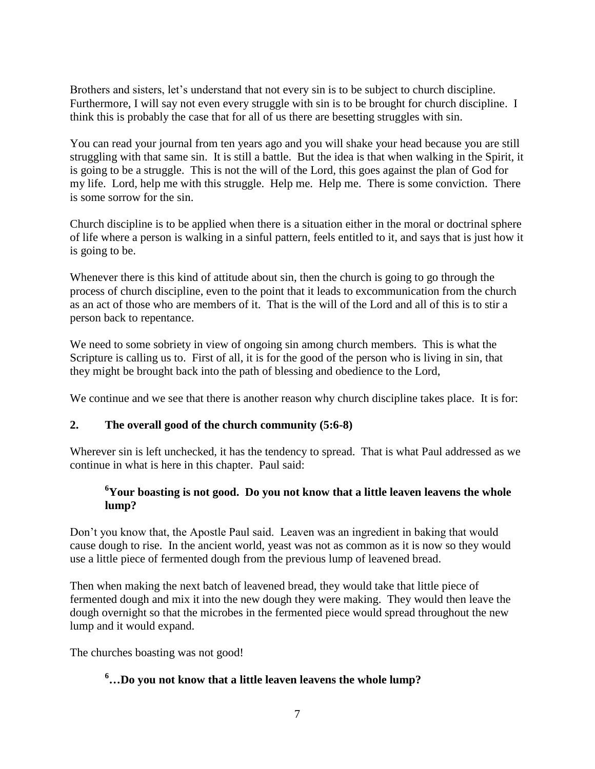Brothers and sisters, let's understand that not every sin is to be subject to church discipline. Furthermore, I will say not even every struggle with sin is to be brought for church discipline. I think this is probably the case that for all of us there are besetting struggles with sin.

You can read your journal from ten years ago and you will shake your head because you are still struggling with that same sin. It is still a battle. But the idea is that when walking in the Spirit, it is going to be a struggle. This is not the will of the Lord, this goes against the plan of God for my life. Lord, help me with this struggle. Help me. Help me. There is some conviction. There is some sorrow for the sin.

Church discipline is to be applied when there is a situation either in the moral or doctrinal sphere of life where a person is walking in a sinful pattern, feels entitled to it, and says that is just how it is going to be.

Whenever there is this kind of attitude about sin, then the church is going to go through the process of church discipline, even to the point that it leads to excommunication from the church as an act of those who are members of it. That is the will of the Lord and all of this is to stir a person back to repentance.

We need to some sobriety in view of ongoing sin among church members. This is what the Scripture is calling us to. First of all, it is for the good of the person who is living in sin, that they might be brought back into the path of blessing and obedience to the Lord,

We continue and we see that there is another reason why church discipline takes place. It is for:

#### **2. The overall good of the church community (5:6-8)**

Wherever sin is left unchecked, it has the tendency to spread. That is what Paul addressed as we continue in what is here in this chapter. Paul said:

#### **<sup>6</sup>Your boasting is not good. Do you not know that a little leaven leavens the whole lump?**

Don't you know that, the Apostle Paul said. Leaven was an ingredient in baking that would cause dough to rise. In the ancient world, yeast was not as common as it is now so they would use a little piece of fermented dough from the previous lump of leavened bread.

Then when making the next batch of leavened bread, they would take that little piece of fermented dough and mix it into the new dough they were making. They would then leave the dough overnight so that the microbes in the fermented piece would spread throughout the new lump and it would expand.

The churches boasting was not good!

# **<sup>6</sup>…Do you not know that a little leaven leavens the whole lump?**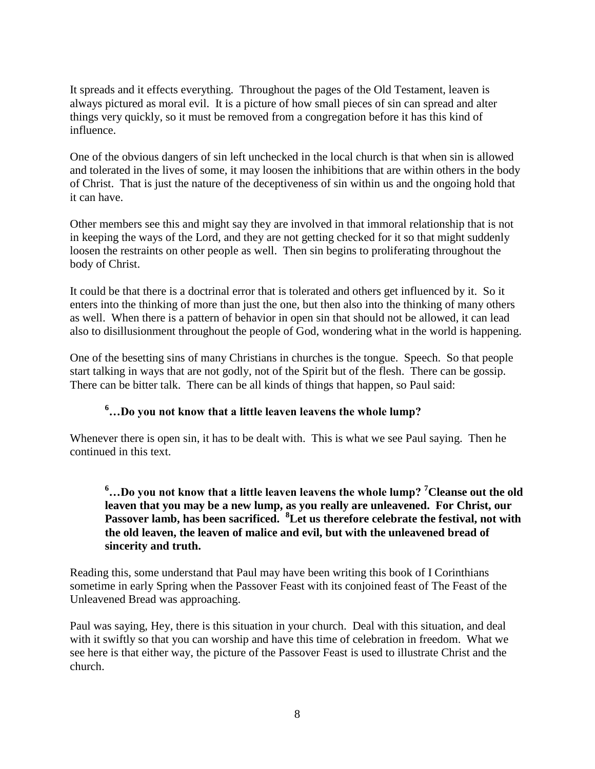It spreads and it effects everything. Throughout the pages of the Old Testament, leaven is always pictured as moral evil. It is a picture of how small pieces of sin can spread and alter things very quickly, so it must be removed from a congregation before it has this kind of influence.

One of the obvious dangers of sin left unchecked in the local church is that when sin is allowed and tolerated in the lives of some, it may loosen the inhibitions that are within others in the body of Christ. That is just the nature of the deceptiveness of sin within us and the ongoing hold that it can have.

Other members see this and might say they are involved in that immoral relationship that is not in keeping the ways of the Lord, and they are not getting checked for it so that might suddenly loosen the restraints on other people as well. Then sin begins to proliferating throughout the body of Christ.

It could be that there is a doctrinal error that is tolerated and others get influenced by it. So it enters into the thinking of more than just the one, but then also into the thinking of many others as well. When there is a pattern of behavior in open sin that should not be allowed, it can lead also to disillusionment throughout the people of God, wondering what in the world is happening.

One of the besetting sins of many Christians in churches is the tongue. Speech. So that people start talking in ways that are not godly, not of the Spirit but of the flesh. There can be gossip. There can be bitter talk. There can be all kinds of things that happen, so Paul said:

# **<sup>6</sup>…Do you not know that a little leaven leavens the whole lump?**

Whenever there is open sin, it has to be dealt with. This is what we see Paul saying. Then he continued in this text.

#### **<sup>6</sup>…Do you not know that a little leaven leavens the whole lump? <sup>7</sup>Cleanse out the old leaven that you may be a new lump, as you really are unleavened. For Christ, our Passover lamb, has been sacrificed. <sup>8</sup>Let us therefore celebrate the festival, not with the old leaven, the leaven of malice and evil, but with the unleavened bread of sincerity and truth.**

Reading this, some understand that Paul may have been writing this book of I Corinthians sometime in early Spring when the Passover Feast with its conjoined feast of The Feast of the Unleavened Bread was approaching.

Paul was saying, Hey, there is this situation in your church. Deal with this situation, and deal with it swiftly so that you can worship and have this time of celebration in freedom. What we see here is that either way, the picture of the Passover Feast is used to illustrate Christ and the church.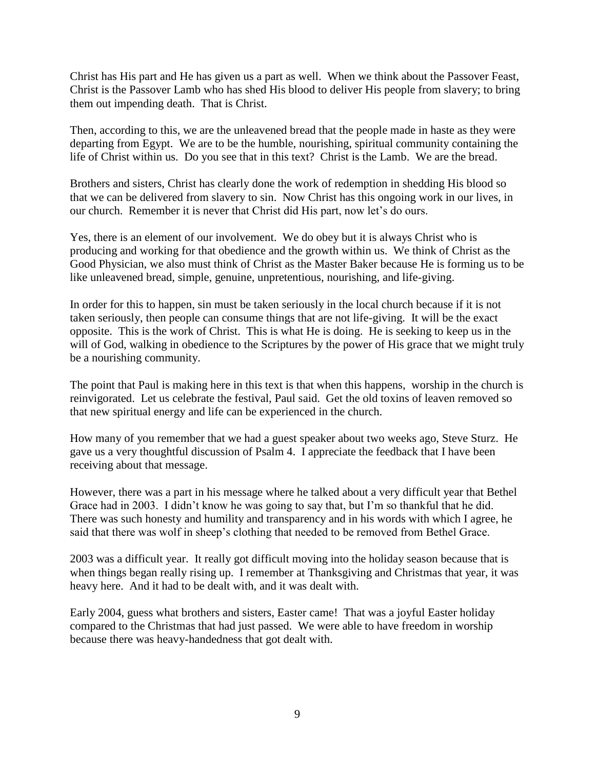Christ has His part and He has given us a part as well. When we think about the Passover Feast, Christ is the Passover Lamb who has shed His blood to deliver His people from slavery; to bring them out impending death. That is Christ.

Then, according to this, we are the unleavened bread that the people made in haste as they were departing from Egypt. We are to be the humble, nourishing, spiritual community containing the life of Christ within us. Do you see that in this text? Christ is the Lamb. We are the bread.

Brothers and sisters, Christ has clearly done the work of redemption in shedding His blood so that we can be delivered from slavery to sin. Now Christ has this ongoing work in our lives, in our church. Remember it is never that Christ did His part, now let's do ours.

Yes, there is an element of our involvement. We do obey but it is always Christ who is producing and working for that obedience and the growth within us. We think of Christ as the Good Physician, we also must think of Christ as the Master Baker because He is forming us to be like unleavened bread, simple, genuine, unpretentious, nourishing, and life-giving.

In order for this to happen, sin must be taken seriously in the local church because if it is not taken seriously, then people can consume things that are not life-giving. It will be the exact opposite. This is the work of Christ. This is what He is doing. He is seeking to keep us in the will of God, walking in obedience to the Scriptures by the power of His grace that we might truly be a nourishing community.

The point that Paul is making here in this text is that when this happens, worship in the church is reinvigorated. Let us celebrate the festival, Paul said. Get the old toxins of leaven removed so that new spiritual energy and life can be experienced in the church.

How many of you remember that we had a guest speaker about two weeks ago, Steve Sturz. He gave us a very thoughtful discussion of Psalm 4. I appreciate the feedback that I have been receiving about that message.

However, there was a part in his message where he talked about a very difficult year that Bethel Grace had in 2003. I didn't know he was going to say that, but I'm so thankful that he did. There was such honesty and humility and transparency and in his words with which I agree, he said that there was wolf in sheep's clothing that needed to be removed from Bethel Grace.

2003 was a difficult year. It really got difficult moving into the holiday season because that is when things began really rising up. I remember at Thanksgiving and Christmas that year, it was heavy here. And it had to be dealt with, and it was dealt with.

Early 2004, guess what brothers and sisters, Easter came! That was a joyful Easter holiday compared to the Christmas that had just passed. We were able to have freedom in worship because there was heavy-handedness that got dealt with.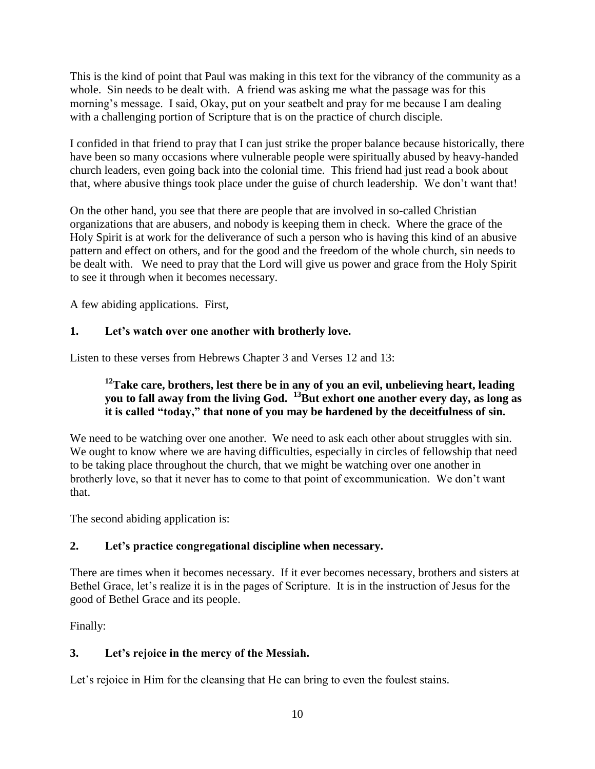This is the kind of point that Paul was making in this text for the vibrancy of the community as a whole. Sin needs to be dealt with. A friend was asking me what the passage was for this morning's message. I said, Okay, put on your seatbelt and pray for me because I am dealing with a challenging portion of Scripture that is on the practice of church disciple.

I confided in that friend to pray that I can just strike the proper balance because historically, there have been so many occasions where vulnerable people were spiritually abused by heavy-handed church leaders, even going back into the colonial time. This friend had just read a book about that, where abusive things took place under the guise of church leadership. We don't want that!

On the other hand, you see that there are people that are involved in so-called Christian organizations that are abusers, and nobody is keeping them in check. Where the grace of the Holy Spirit is at work for the deliverance of such a person who is having this kind of an abusive pattern and effect on others, and for the good and the freedom of the whole church, sin needs to be dealt with. We need to pray that the Lord will give us power and grace from the Holy Spirit to see it through when it becomes necessary.

A few abiding applications. First,

# **1. Let's watch over one another with brotherly love.**

Listen to these verses from Hebrews Chapter 3 and Verses 12 and 13:

## **<sup>12</sup>Take care, brothers, lest there be in any of you an evil, unbelieving heart, leading you to fall away from the living God. <sup>13</sup>But exhort one another every day, as long as it is called "today," that none of you may be hardened by the deceitfulness of sin.**

We need to be watching over one another. We need to ask each other about struggles with sin. We ought to know where we are having difficulties, especially in circles of fellowship that need to be taking place throughout the church, that we might be watching over one another in brotherly love, so that it never has to come to that point of excommunication. We don't want that.

The second abiding application is:

#### **2. Let's practice congregational discipline when necessary.**

There are times when it becomes necessary. If it ever becomes necessary, brothers and sisters at Bethel Grace, let's realize it is in the pages of Scripture. It is in the instruction of Jesus for the good of Bethel Grace and its people.

Finally:

# **3. Let's rejoice in the mercy of the Messiah.**

Let's rejoice in Him for the cleansing that He can bring to even the foulest stains.